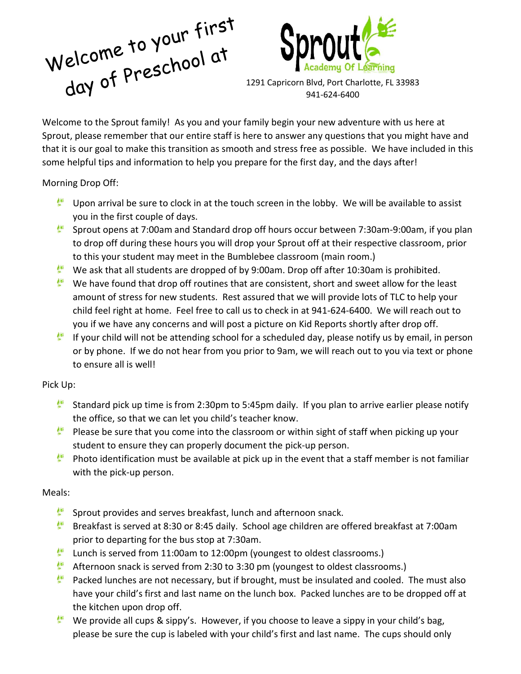



1291 Capricorn Blvd, Port Charlotte, FL 33983 941-624-6400

Welcome to the Sprout family! As you and your family begin your new adventure with us here at Sprout, please remember that our entire staff is here to answer any questions that you might have and that it is our goal to make this transition as smooth and stress free as possible. We have included in this some helpful tips and information to help you prepare for the first day, and the days after!

Morning Drop Off:

- Upon arrival be sure to clock in at the touch screen in the lobby. We will be available to assist you in the first couple of days.
- Sprout opens at 7:00am and Standard drop off hours occur between 7:30am-9:00am, if you plan to drop off during these hours you will drop your Sprout off at their respective classroom, prior to this your student may meet in the Bumblebee classroom (main room.)
- We ask that all students are dropped of by 9:00am. Drop off after 10:30am is prohibited.
- We have found that drop off routines that are consistent, short and sweet allow for the least amount of stress for new students. Rest assured that we will provide lots of TLC to help your child feel right at home. Feel free to call us to check in at 941-624-6400. We will reach out to you if we have any concerns and will post a picture on Kid Reports shortly after drop off.
- If your child will not be attending school for a scheduled day, please notify us by email, in person or by phone. If we do not hear from you prior to 9am, we will reach out to you via text or phone to ensure all is well!

# Pick Up:

- Standard pick up time is from 2:30pm to 5:45pm daily. If you plan to arrive earlier please notify the office, so that we can let you child's teacher know.
- Please be sure that you come into the classroom or within sight of staff when picking up your student to ensure they can properly document the pick-up person.
- Photo identification must be available at pick up in the event that a staff member is not familiar with the pick-up person.

# Meals:

- ∲¥ Sprout provides and serves breakfast, lunch and afternoon snack.
- Breakfast is served at 8:30 or 8:45 daily. School age children are offered breakfast at 7:00am prior to departing for the bus stop at 7:30am.
- Lunch is served from 11:00am to 12:00pm (youngest to oldest classrooms.)
- **ALLES** Afternoon snack is served from 2:30 to 3:30 pm (youngest to oldest classrooms.)
- Packed lunches are not necessary, but if brought, must be insulated and cooled. The must also have your child's first and last name on the lunch box. Packed lunches are to be dropped off at the kitchen upon drop off.
- We provide all cups & sippy's. However, if you choose to leave a sippy in your child's bag, please be sure the cup is labeled with your child's first and last name. The cups should only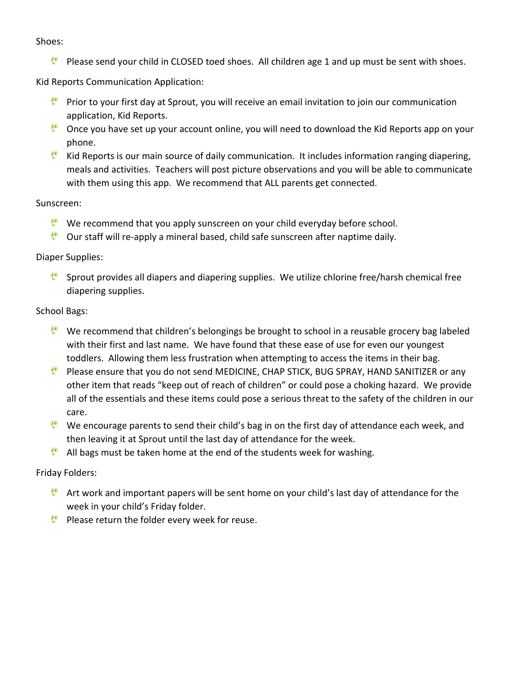#### Shoes:

**Please send your child in CLOSED toed shoes.** All children age 1 and up must be sent with shoes.

Kid Reports Communication Application:

- **Prior to your first day at Sprout, you will receive an email invitation to join our communication** application, Kid Reports.
- $\bullet$  Once you have set up your account online, you will need to download the Kid Reports app on your phone.
- Kid Reports is our main source of daily communication. It includes information ranging diapering, meals and activities. Teachers will post picture observations and you will be able to communicate with them using this app. We recommend that ALL parents get connected.

#### Sunscreen:

- We recommend that you apply sunscreen on your child everyday before school.
- Our staff will re-apply a mineral based, child safe sunscreen after naptime daily.

# Diaper Supplies:

Sprout provides all diapers and diapering supplies. We utilize chlorine free/harsh chemical free diapering supplies.

# School Bags:

- We recommend that children's belongings be brought to school in a reusable grocery bag labeled with their first and last name. We have found that these ease of use for even our youngest toddlers. Allowing them less frustration when attempting to access the items in their bag.
- Please ensure that you do not send MEDICINE, CHAP STICK, BUG SPRAY, HAND SANITIZER or any other item that reads "keep out of reach of children" or could pose a choking hazard. We provide all of the essentials and these items could pose a serious threat to the safety of the children in our care.
- We encourage parents to send their child's bag in on the first day of attendance each week, and then leaving it at Sprout until the last day of attendance for the week.
- All bags must be taken home at the end of the students week for washing.

# Friday Folders:

- $\mathbb{R}^*$  Art work and important papers will be sent home on your child's last day of attendance for the week in your child's Friday folder.
- $\bullet$  Please return the folder every week for reuse.